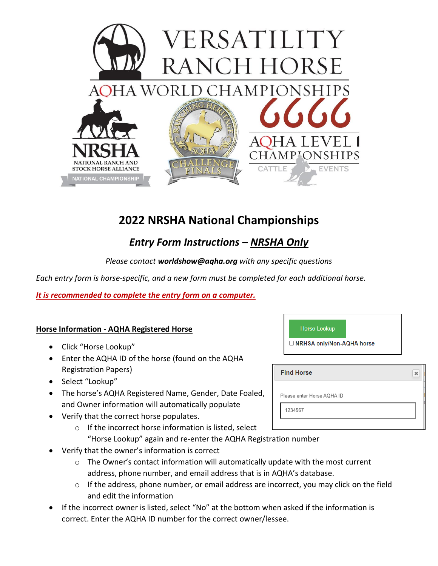

# **2022 NRSHA National Championships**

# *Entry Form Instructions – NRSHA Only*

# *Please contact worldshow@aqha.org with any specific questions*

*Each entry form is horse-specific, and a new form must be completed for each additional horse.*

*It is recommended to complete the entry form on a computer.*

# **Horse Information - AQHA Registered Horse**

- Click "Horse Lookup"
- Enter the AQHA ID of the horse (found on the AQHA Registration Papers)
- Select "Lookup"
- The horse's AQHA Registered Name, Gender, Date Foaled, and Owner information will automatically populate
- Verify that the correct horse populates.
	- o If the incorrect horse information is listed, select "Horse Lookup" again and re-enter the AQHA Registration number
- Verify that the owner's information is correct
	- $\circ$  The Owner's contact information will automatically update with the most current address, phone number, and email address that is in AQHA's database.
	- $\circ$  If the address, phone number, or email address are incorrect, you may click on the field and edit the information
- If the incorrect owner is listed, select "No" at the bottom when asked if the information is correct. Enter the AQHA ID number for the correct owner/lessee.

| <b>Horse Lookup</b>         |                       |
|-----------------------------|-----------------------|
| □ NRHSA only/Non-AQHA horse |                       |
| <b>Find Horse</b>           | $\boldsymbol{\times}$ |
| Please enter Horse AQHA ID  |                       |
| 1234567                     |                       |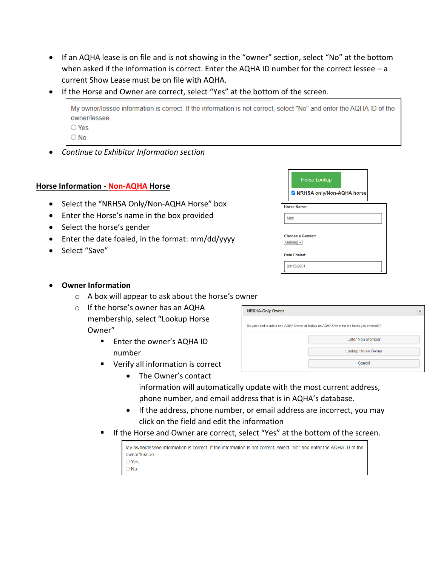- If an AQHA lease is on file and is not showing in the "owner" section, select "No" at the bottom when asked if the information is correct. Enter the AQHA ID number for the correct lessee – a current Show Lease must be on file with AQHA.
- If the Horse and Owner are correct, select "Yes" at the bottom of the screen.

My owner/lessee information is correct. If the information is not correct, select "No" and enter the AQHA ID of the owner/lessee.  $\bigcirc$  Yes

 $\bigcirc$  No

• *Continue to Exhibitor Information section*

#### **Horse Information - Non-AQHA Horse**

- Select the "NRHSA Only/Non-AQHA Horse" box
- Enter the Horse's name in the box provided
- Select the horse's gender
- Enter the date foaled, in the format: mm/dd/yyyy
- Select "Save"

| <b>Horse Lookup</b><br>MRHSA only/Non-AQHA horse |
|--------------------------------------------------|
| <b>Horse Name:</b>                               |
| Max                                              |
| Choose a Gender:                                 |
| Gelding $\sim$                                   |
| Date Foaled:                                     |
| 03/15/2001                                       |

### • **Owner Information**

- o A box will appear to ask about the horse's owner
- o If the horse's owner has an AQHA membership, select "Lookup Horse Owner"
	- Enter the owner's AQHA ID number
	- Verify all information is correct
		- The Owner's contact information will automatically update with the most current address, phone number, and email address that is in AQHA's database.
		- If the address, phone number, or email address are incorrect, you may click on the field and edit the information
	- If the Horse and Owner are correct, select "Yes" at the bottom of the screen.

| My owner/lessee information is correct. If the information is not correct, select "No" and enter the AQHA ID of the |  |
|---------------------------------------------------------------------------------------------------------------------|--|
| owner/lessee.                                                                                                       |  |
| $\bigcirc$ Yes                                                                                                      |  |
| ∩ No                                                                                                                |  |
|                                                                                                                     |  |

| <b>NRSHA-Only Owner</b> |                                                                                         | $\boldsymbol{\mathsf{x}}$ |
|-------------------------|-----------------------------------------------------------------------------------------|---------------------------|
|                         | Do you need to add a non-AQHA Owner or lookup an AQHA Owner for the horse you entered?? |                           |
|                         | <b>Enter Non-Member</b>                                                                 |                           |
|                         | Lookup Horse Owner                                                                      |                           |
|                         | Cancel                                                                                  |                           |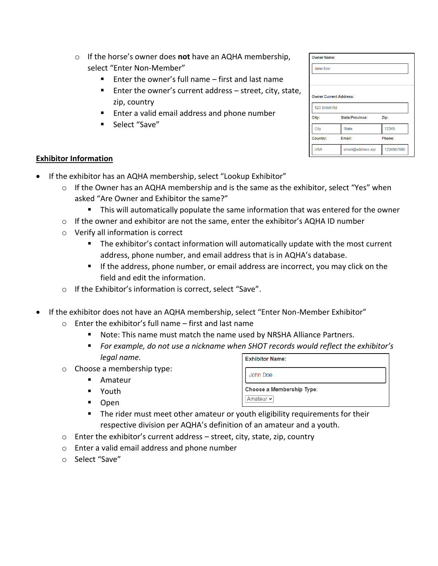- o If the horse's owner does **not** have an AQHA membership, select "Enter Non-Member"
	- **E** Enter the owner's full name first and last name
	- Enter the owner's current address street, city, state, zip, country
	- Enter a valid email address and phone number
	- Select "Save"

| <b>Owner Name:</b>            |                   |            |  |
|-------------------------------|-------------------|------------|--|
| Jane Doe                      |                   |            |  |
|                               |                   |            |  |
|                               |                   |            |  |
| <b>Owner Current Address:</b> |                   |            |  |
| 123 Street Rd                 |                   |            |  |
| City:                         | State/Province:   | Zip:       |  |
| City                          | <b>State</b>      | 12345      |  |
| Country:                      | Email:            | Phone:     |  |
| <b>USA</b>                    | email@address.xyz | 1234567890 |  |

## **Exhibitor Information**

- If the exhibitor has an AQHA membership, select "Lookup Exhibitor"
	- $\circ$  If the Owner has an AQHA membership and is the same as the exhibitor, select "Yes" when asked "Are Owner and Exhibitor the same?"
		- This will automatically populate the same information that was entered for the owner
	- $\circ$  If the owner and exhibitor are not the same, enter the exhibitor's AQHA ID number
	- o Verify all information is correct
		- The exhibitor's contact information will automatically update with the most current address, phone number, and email address that is in AQHA's database.
		- If the address, phone number, or email address are incorrect, you may click on the field and edit the information.
	- o If the Exhibitor's information is correct, select "Save".
- If the exhibitor does not have an AQHA membership, select "Enter Non-Member Exhibitor"
	- $\circ$  Enter the exhibitor's full name first and last name
		- Note: This name must match the name used by NRSHA Alliance Partners.
		- For example, do not use a nickname when SHOT records would reflect the exhibitor's *legal name.*
	- o Choose a membership type:
		- Amateur
		- Youth
		- Open
		- **•** The rider must meet other amateur or youth eligibility requirements for their respective division per AQHA's definition of an amateur and a youth.
	- o Enter the exhibitor's current address street, city, state, zip, country
	- o Enter a valid email address and phone number
	- o Select "Save"

| <b>Exhibitor Name:</b>                 |  |
|----------------------------------------|--|
| John Doe                               |  |
| Choose a Membership Type:<br>Amateur ~ |  |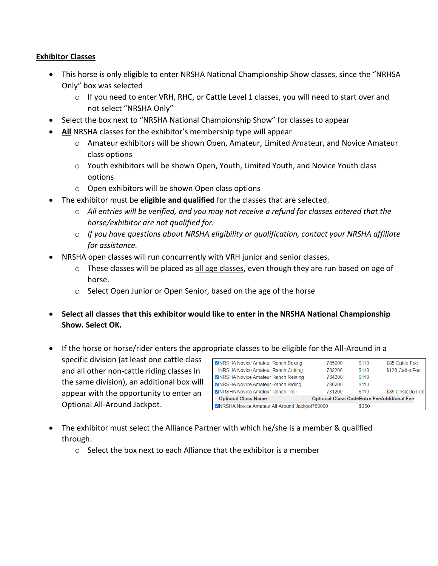### **Exhibitor Classes**

- This horse is only eligible to enter NRSHA National Championship Show classes, since the "NRHSA Only" box was selected
	- $\circ$  If you need to enter VRH, RHC, or Cattle Level 1 classes, you will need to start over and not select "NRSHA Only"
- Select the box next to "NRSHA National Championship Show" for classes to appear
- **All** NRSHA classes for the exhibitor's membership type will appear
	- o Amateur exhibitors will be shown Open, Amateur, Limited Amateur, and Novice Amateur class options
	- $\circ$  Youth exhibitors will be shown Open, Youth, Limited Youth, and Novice Youth class options
	- o Open exhibitors will be shown Open class options
- The exhibitor must be **eligible and qualified** for the classes that are selected.
	- o *All entries will be verified, and you may not receive a refund for classes entered that the horse/exhibitor are not qualified for.*
	- o *If you have questions about NRSHA eligibility or qualification, contact your NRSHA affiliate for assistance.*
	- NRSHA open classes will run concurrently with VRH junior and senior classes.
		- $\circ$  These classes will be placed as all age classes, even though they are run based on age of horse.
		- o Select Open Junior or Open Senior, based on the age of the horse
- **Select all classes that this exhibitor would like to enter in the NRSHA National Championship Show. Select OK.**
- If the horse or horse/rider enters the appropriate classes to be eligible for the All-Around in a
- specific division (at least one cattle class and all other non-cattle riding classes in the same division), an additional box will appear with the opportunity to enter an Optional All-Around Jackpot.

| <b>ZNRSHA Novice Amateur Ranch Boxing</b>             | 785000                                            | \$110 | \$85 Cattle Fee   |
|-------------------------------------------------------|---------------------------------------------------|-------|-------------------|
| □ ONRSHA Novice Amateur Ranch Cutting                 | 782200                                            | \$110 | \$120 Cattle Fee  |
| <b>ZNRSHA Novice Amateur Ranch Reining</b>            | 784200                                            | \$110 |                   |
| <b>ZNRSHA Novice Amateur Ranch Riding</b>             | 780200                                            | \$110 |                   |
| <b>ZNRSHA Novice Amateur Ranch Trail</b>              | 781200                                            | \$110 | \$35 Obstacle Fee |
| <b>Optional Class Name</b>                            | <b>Optional Class CodeEntry FeeAdditional Fee</b> |       |                   |
| <b>ZNRSHA Novice Amateur All-Around Jackpot780000</b> |                                                   | \$250 |                   |

- The exhibitor must select the Alliance Partner with which he/she is a member & qualified through.
	- $\circ$  Select the box next to each Alliance that the exhibitor is a member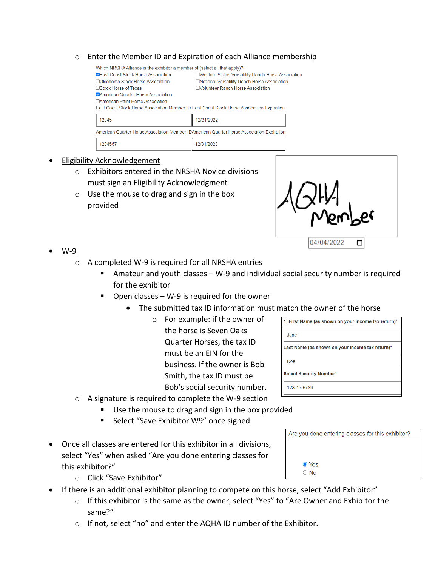#### o Enter the Member ID and Expiration of each Alliance membership

| Which NRSHA Alliance is the exhibitor a member of (select all that apply)?                   |                                                            |  |  |
|----------------------------------------------------------------------------------------------|------------------------------------------------------------|--|--|
| <b>ZEast Coast Stock Horse Association</b>                                                   | <b>EWestern States Versatility Ranch Horse Association</b> |  |  |
| □Oklahoma Stock Horse Association                                                            | □National Versatility Ranch Horse Association              |  |  |
| □Stock Horse of Texas                                                                        | □ Volunteer Ranch Horse Association                        |  |  |
| <b>ZAmerican Quarter Horse Association</b>                                                   |                                                            |  |  |
| □American Paint Horse Association                                                            |                                                            |  |  |
| East Coast Stock Horse Association Member ID: East Coast Stock Horse Association Expiration: |                                                            |  |  |
|                                                                                              |                                                            |  |  |
| 12345                                                                                        | 12/31/2022                                                 |  |  |
| American Quarter Horse Association Member IDAmerican Quarter Horse Association Expiration    |                                                            |  |  |
| 1234567                                                                                      | 12/31/2023                                                 |  |  |

#### • Eligibility Acknowledgement

- o Exhibitors entered in the NRSHA Novice divisions must sign an Eligibility Acknowledgment
- o Use the mouse to drag and sign in the box provided



• W-9

- o A completed W-9 is required for all NRSHA entries
	- Amateur and youth classes W-9 and individual social security number is required for the exhibitor
	- $\blacksquare$  Open classes W-9 is required for the owner
		- The submitted tax ID information must match the owner of the horse
			- o For example: if the owner of the horse is Seven Oaks Quarter Horses, the tax ID must be an EIN for the business. If the owner is Bob Smith, the tax ID must be Bob's social security number.

| 1. First Name (as shown on your income tax return)* |
|-----------------------------------------------------|
| Jane                                                |
| Last Name (as shown on your income tax return)*     |
| Doe                                                 |
| <b>Social Security Number*</b>                      |
| 123-45-6789                                         |

- o A signature is required to complete the W-9 section
	- Use the mouse to drag and sign in the box provided
	- Select "Save Exhibitor W9" once signed
- Once all classes are entered for this exhibitor in all divisions, select "Yes" when asked "Are you done entering classes for this exhibitor?"



- o Click "Save Exhibitor"
- If there is an additional exhibitor planning to compete on this horse, select "Add Exhibitor"
	- $\circ$  If this exhibitor is the same as the owner, select "Yes" to "Are Owner and Exhibitor the same?"
	- o If not, select "no" and enter the AQHA ID number of the Exhibitor.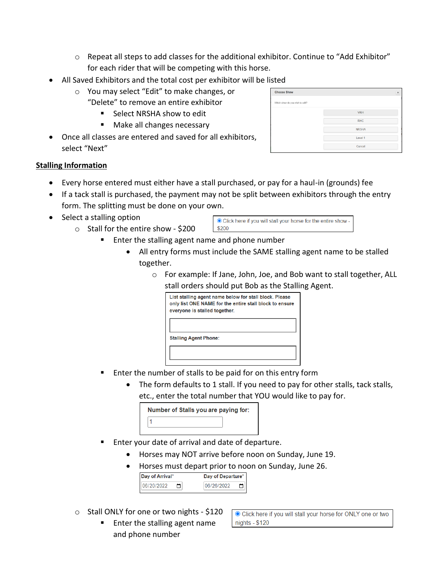- $\circ$  Repeat all steps to add classes for the additional exhibitor. Continue to "Add Exhibitor" for each rider that will be competing with this horse.
- All Saved Exhibitors and the total cost per exhibitor will be listed
	- o You may select "Edit" to make changes, or "Delete" to remove an entire exhibitor
		- Select NRSHA show to edit
		- Make all changes necessary
- Once all classes are entered and saved for all exhibitors, select "Next"

| <b>Choose Show</b>              |              | $\pmb{\times}$ |
|---------------------------------|--------------|----------------|
| Which show do you wish to edit? |              |                |
|                                 | <b>VRH</b>   |                |
|                                 | <b>RHC</b>   |                |
|                                 | <b>NRSHA</b> |                |
|                                 | Level 1      |                |
|                                 | Cancel       |                |

## **Stalling Information**

- Every horse entered must either have a stall purchased, or pay for a haul-in (grounds) fee
- If a tack stall is purchased, the payment may not be split between exhibitors through the entry form. The splitting must be done on your own.
- Select a stalling option
	- o Stall for the entire show \$200

|       | ● Click here if you will stall your horse for the entire show - |
|-------|-----------------------------------------------------------------|
| \$200 |                                                                 |

- Enter the stalling agent name and phone number
	- All entry forms must include the SAME stalling agent name to be stalled together.
		- o For example: If Jane, John, Joe, and Bob want to stall together, ALL stall orders should put Bob as the Stalling Agent.

| List stalling agent name below for stall block. Please<br>only list ONE NAME for the entire stall block to ensure<br>everyone is stalled together. |
|----------------------------------------------------------------------------------------------------------------------------------------------------|
| <b>Stalling Agent Phone:</b>                                                                                                                       |
|                                                                                                                                                    |

- Enter the number of stalls to be paid for on this entry form
	- The form defaults to 1 stall. If you need to pay for other stalls, tack stalls, etc., enter the total number that YOU would like to pay for.

| Number of Stalls you are paying for: |  |  |  |  |
|--------------------------------------|--|--|--|--|
|                                      |  |  |  |  |
|                                      |  |  |  |  |

- Enter your date of arrival and date of departure.
	- Horses may NOT arrive before noon on Sunday, June 19.
	- Horses must depart prior to noon on Sunday, June 26.

| Day of Arrival*     | Day of Departure* |  |  |
|---------------------|-------------------|--|--|
| <u>  NG/2N/2N22</u> | 7672672022        |  |  |

- o Stall ONLY for one or two nights \$120
	- Enter the stalling agent name and phone number

Click here if you will stall your horse for ONLY one or two nights - \$120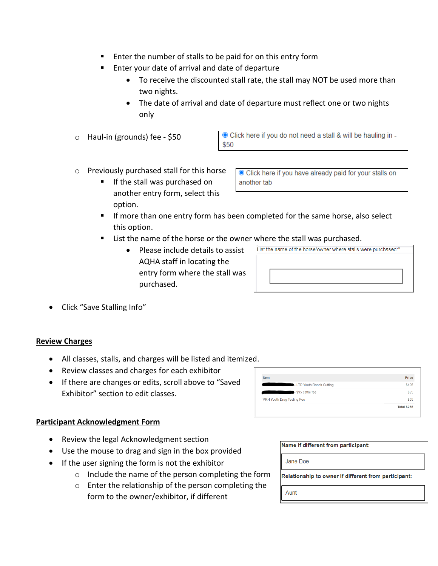- Enter the number of stalls to be paid for on this entry form
- Enter your date of arrival and date of departure
	- To receive the discounted stall rate, the stall may NOT be used more than two nights.
	- The date of arrival and date of departure must reflect one or two nights only
- o Haul-in (grounds) fee \$50

● Click here if you do not need a stall & will be hauling in -\$50

- o Previously purchased stall for this horse
	- **■** If the stall was purchased on another entry form, select this option.

Click here if you have already paid for your stalls on another tab

- **If more than one entry form has been completed for the same horse, also select** this option.
- List the name of the horse or the owner where the stall was purchased.
	- Please include details to assist AQHA staff in locating the entry form where the stall was purchased.

List the name of the horse/owner where stalls were purchased:\*

• Click "Save Stalling Info"

## **Review Charges**

- All classes, stalls, and charges will be listed and itemized.
- Review classes and charges for each exhibitor
- If there are changes or edits, scroll above to "Saved Exhibitor" section to edit classes.

|                                   | Total \$255 |  |
|-----------------------------------|-------------|--|
| <b>VRH Youth Drug Testing Fee</b> | \$55        |  |
| - \$95 cattle fee                 | \$95        |  |
| - LTD Youth Ranch Cutting         | \$105       |  |
| <b>Item</b>                       | Price       |  |

#### **Participant Acknowledgment Form**

- Review the legal Acknowledgment section
- Use the mouse to drag and sign in the box provided
- If the user signing the form is not the exhibitor
	- o Include the name of the person completing the form
	- o Enter the relationship of the person completing the form to the owner/exhibitor, if different

| Name if different from participant:                  |  |
|------------------------------------------------------|--|
| Jane Doe                                             |  |
| Relationship to owner if different from participant: |  |
|                                                      |  |